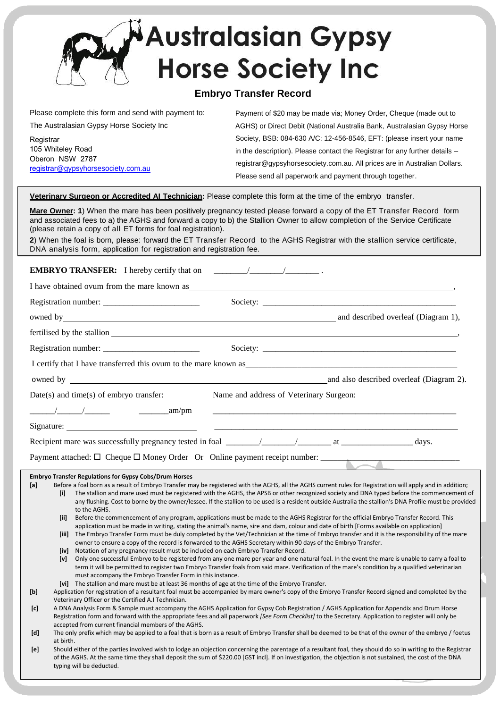

## **Embryo Transfer Record**

| Please complete this form and send with payment to:                                     | Payment of \$20 may be made via; Money Order, Cheque (made out to           |
|-----------------------------------------------------------------------------------------|-----------------------------------------------------------------------------|
| The Australasian Gypsy Horse Society Inc                                                | AGHS) or Direct Debit (National Australia Bank, Australasian Gypsy Horse    |
| Registrar<br>105 Whiteley Road<br>Oberon NSW 2787<br>registrar@gypsyhorsesociety.com.au | Society, BSB: 084-630 A/C: 12-456-8546, EFT: (please insert your name       |
|                                                                                         | in the description). Please contact the Registrar for any further details - |
|                                                                                         | registrar@gypsyhorsesociety.com.au. All prices are in Australian Dollars.   |
|                                                                                         | Please send all paperwork and payment through together.                     |

**Veterinary Surgeon or Accredited AI Technician:** Please complete this form at the time of the embryo transfer.

**Mare Owner: 1**) When the mare has been positively pregnancy tested please forward a copy of the ET Transfer Record form and associated fees to a) the AGHS and forward a copy to b) the Stallion Owner to allow completion of the Service Certificate (please retain a copy of all ET forms for foal registration).

**2**) When the foal is born, please: forward the ET Transfer Record to the AGHS Registrar with the stallion service certificate, DNA analysis form, application for registration and registration fee.

## **EMBRYO TRANSFER:** I hereby certify that on \_\_\_\_\_\_\_\_/\_\_\_\_\_\_\_\_/\_\_\_\_\_\_\_\_ .

I have obtained ovum from the mare known as

|                     | owned by a common contract the contract of the contract of the contract of the contract of the contract of the contract of the contract of the contract of the contract of the contract of the contract of the contract of the                                                                                                                                                                                                                                                                                                                                                                                                                                                                |                                         |                                          |
|---------------------|-----------------------------------------------------------------------------------------------------------------------------------------------------------------------------------------------------------------------------------------------------------------------------------------------------------------------------------------------------------------------------------------------------------------------------------------------------------------------------------------------------------------------------------------------------------------------------------------------------------------------------------------------------------------------------------------------|-----------------------------------------|------------------------------------------|
|                     | fertilised by the stallion example and the state of the state of the state of the state of the state of the state of the state of the state of the state of the state of the state of the state of the state of the state of t                                                                                                                                                                                                                                                                                                                                                                                                                                                                |                                         |                                          |
|                     |                                                                                                                                                                                                                                                                                                                                                                                                                                                                                                                                                                                                                                                                                               |                                         |                                          |
|                     |                                                                                                                                                                                                                                                                                                                                                                                                                                                                                                                                                                                                                                                                                               |                                         |                                          |
|                     |                                                                                                                                                                                                                                                                                                                                                                                                                                                                                                                                                                                                                                                                                               |                                         | and also described overleaf (Diagram 2). |
|                     | $Date(s)$ and time(s) of embryo transfer:                                                                                                                                                                                                                                                                                                                                                                                                                                                                                                                                                                                                                                                     | Name and address of Veterinary Surgeon: |                                          |
|                     | $\frac{1}{2}$ am/pm                                                                                                                                                                                                                                                                                                                                                                                                                                                                                                                                                                                                                                                                           |                                         |                                          |
|                     |                                                                                                                                                                                                                                                                                                                                                                                                                                                                                                                                                                                                                                                                                               |                                         |                                          |
|                     |                                                                                                                                                                                                                                                                                                                                                                                                                                                                                                                                                                                                                                                                                               |                                         |                                          |
|                     |                                                                                                                                                                                                                                                                                                                                                                                                                                                                                                                                                                                                                                                                                               |                                         |                                          |
| [a]<br>[1]<br>[iii] | <b>Embryo Transfer Regulations for Gypsy Cobs/Drum Horses</b><br>Before a foal born as a result of Embryo Transfer may be registered with the AGHS, all the AGHS current rules for Registration will apply and in addition;<br>The stallion and mare used must be registered with the AGHS, the APSB or other recognized society and DNA typed before the commencement of<br>any flushing. Cost to borne by the owner/lessee. If the stallion to be used is a resident outside Australia the stallion's DNA Profile must be provided<br>to the AGHS.<br>Before the commencement of any program, applications must be made to the AGHS Registrar for the official Embryo Transfer Record. This |                                         |                                          |
| <b>Tiii</b>         | application must be made in writing, stating the animal's name, sire and dam, colour and date of birth [Forms available on application]<br>The Embryo Transfer Form must be duly completed by the Vet/Technician at the time of Embryo transfer and it is the responsibility of the mare<br>owner to ensure a copy of the record is forwarded to the AGHS Secretary within 90 days of the Embryo Transfer.                                                                                                                                                                                                                                                                                    |                                         |                                          |
| [iv]<br>[v]         | Notation of any pregnancy result must be included on each Embryo Transfer Record.<br>Only one successful Embryo to be registered from any one mare per year and one natural foal. In the event the mare is unable to carry a foal to<br>term it will be permitted to register two Embryo Transfer foals from said mare. Verification of the mare's condition by a qualified veterinarian<br>must accompany the Embryo Transfer Form in this instance.                                                                                                                                                                                                                                         |                                         |                                          |

**[vi]** The stallion and mare must be at least 36 months of age at the time of the Embryo Transfer.

**[b]** Application for registration of a resultant foal must be accompanied by mare owner's copy of the Embryo Transfer Record signed and completed by the Veterinary Officer or the Certified A.I Technician.

 **[c]** A DNA Analysis Form & Sample must accompany the AGHS Application for Gypsy Cob Registration / AGHS Application for Appendix and Drum Horse Registration form and forward with the appropriate fees and all paperwork *[See Form Checklist]* to the Secretary. Application to register will only be accepted from current financial members of the AGHS.

- **[d]** The only prefix which may be applied to a foal that is born as a result of Embryo Transfer shall be deemed to be that of the owner of the embryo / foetus at birth.
- at birth.<br>**[e]** Should either of the parties involved wish to lodge an objection concerning the parentage of a resultant foal, they should do so in writing to the Registrar of the AGHS. At the same time they shall deposit the sum of \$220.00 [GST incl]. If on investigation, the objection is not sustained, the cost of the DNA typing will be deducted.